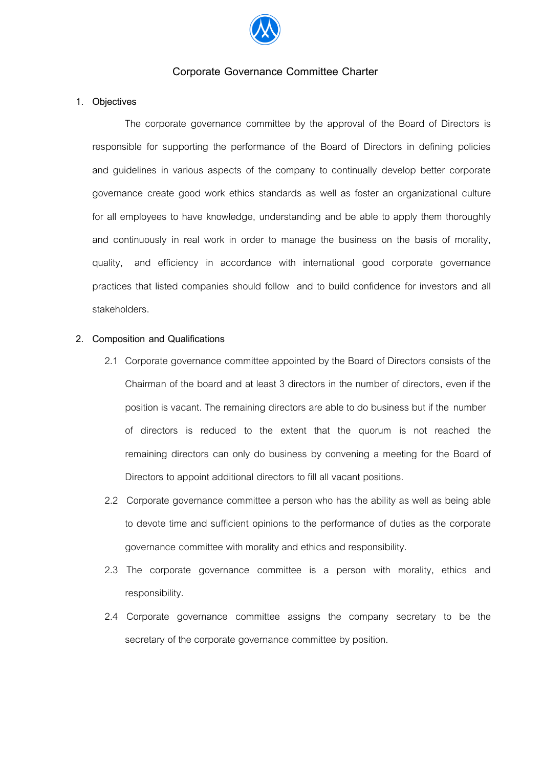

# **Corporate Governance Committee Charter**

#### **1. Objectives**

The corporate governance committee by the approval of the Board of Directors is responsible for supporting the performance of the Board of Directors in defining policies and guidelines in various aspects of the company to continually develop better corporate governance create good work ethics standards as well as foster an organizational culture for all employees to have knowledge, understanding and be able to apply them thoroughly and continuously in real work in order to manage the business on the basis of morality, quality, and efficiency in accordance with international good corporate governance practices that listed companies should follow and to build confidence for investors and all stakeholders.

#### **2. Composition and Qualifications**

- 2.1 Corporate governance committee appointed by the Board of Directors consists of the Chairman of the board and at least 3 directors in the number of directors, even if the position is vacant. The remaining directors are able to do business but if the number of directors is reduced to the extent that the quorum is not reached the remaining directors can only do business by convening a meeting for the Board of Directors to appoint additional directors to fill all vacant positions.
- 2.2 Corporate governance committee a person who has the ability as well as being able to devote time and sufficient opinions to the performance of duties as the corporate governance committee with morality and ethics and responsibility.
- 2.3 The corporate governance committee is a person with morality, ethics and responsibility.
- 2.4 Corporate governance committee assigns the company secretary to be the secretary of the corporate governance committee by position.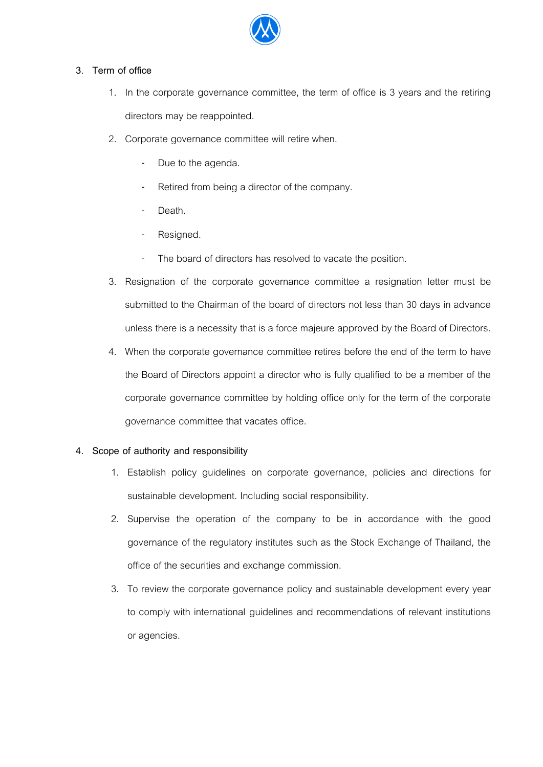

# **3. Term of office**

- 1. In the corporate governance committee, the term of office is 3 years and the retiring directors may be reappointed.
- 2. Corporate governance committee will retire when.
	- Due to the agenda.
	- Retired from being a director of the company.
	- Death.
	- Resigned.
	- The board of directors has resolved to vacate the position.
- 3. Resignation of the corporate governance committee a resignation letter must be submitted to the Chairman of the board of directors not less than 30 days in advance unless there is a necessity that is a force majeure approved by the Board of Directors.
- 4. When the corporate governance committee retires before the end of the term to have the Board of Directors appoint a director who is fully qualified to be a member of the corporate governance committee by holding office only for the term of the corporate governance committee that vacates office.

# **4. Scope of authority and responsibility**

- 1. Establish policy guidelines on corporate governance, policies and directions for sustainable development. Including social responsibility.
- 2. Supervise the operation of the company to be in accordance with the good governance of the regulatory institutes such as the Stock Exchange of Thailand, the office of the securities and exchange commission.
- 3. To review the corporate governance policy and sustainable development every year to comply with international guidelines and recommendations of relevant institutions or agencies.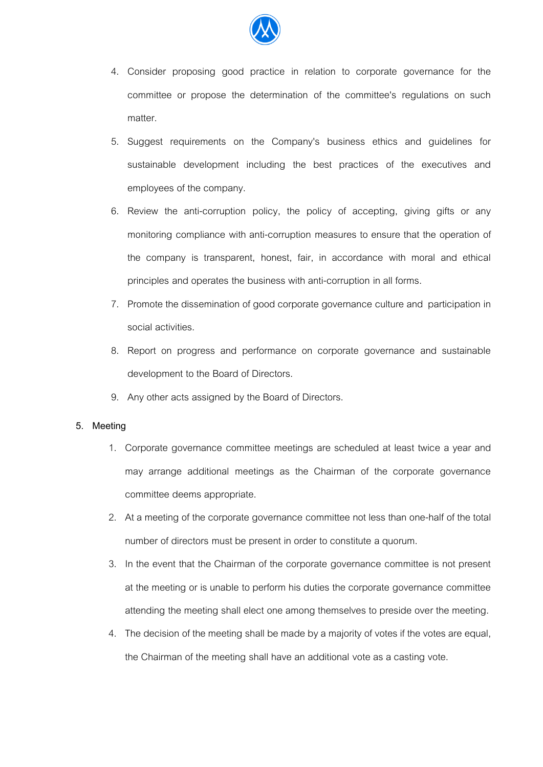

- 4. Consider proposing good practice in relation to corporate governance for the committee or propose the determination of the committee's regulations on such matter.
- 5. Suggest requirements on the Company's business ethics and guidelines for sustainable development including the best practices of the executives and employees of the company.
- 6. Review the anti-corruption policy, the policy of accepting, giving gifts or any monitoring compliance with anti-corruption measures to ensure that the operation of the company is transparent, honest, fair, in accordance with moral and ethical principles and operates the business with anti-corruption in all forms.
- 7. Promote the dissemination of good corporate governance culture and participation in social activities.
- 8. Report on progress and performance on corporate governance and sustainable development to the Board of Directors.
- 9. Any other acts assigned by the Board of Directors.

# **5. Meeting**

- 1. Corporate governance committee meetings are scheduled at least twice a year and may arrange additional meetings as the Chairman of the corporate governance committee deems appropriate.
- 2. At a meeting of the corporate governance committee not less than one-half of the total number of directors must be present in order to constitute a quorum.
- 3. In the event that the Chairman of the corporate governance committee is not present at the meeting or is unable to perform his duties the corporate governance committee attending the meeting shall elect one among themselves to preside over the meeting.
- 4. The decision of the meeting shall be made by a majority of votes if the votes are equal, the Chairman of the meeting shall have an additional vote as a casting vote.